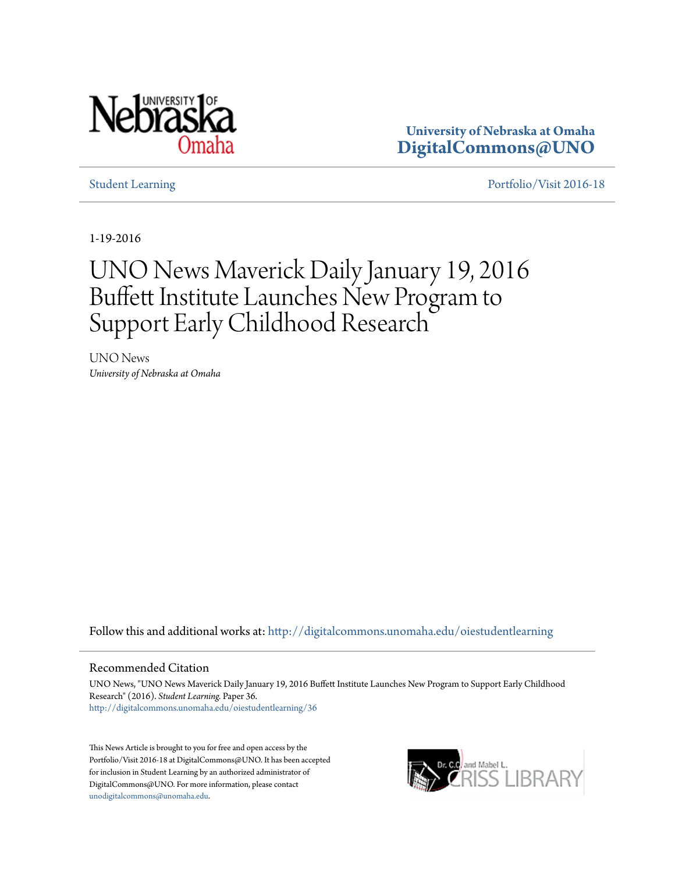

**University of Nebraska at Omaha [DigitalCommons@UNO](http://digitalcommons.unomaha.edu?utm_source=digitalcommons.unomaha.edu%2Foiestudentlearning%2F36&utm_medium=PDF&utm_campaign=PDFCoverPages)**

[Student Learning](http://digitalcommons.unomaha.edu/oiestudentlearning?utm_source=digitalcommons.unomaha.edu%2Foiestudentlearning%2F36&utm_medium=PDF&utm_campaign=PDFCoverPages) **[Portfolio/Visit 2016-18](http://digitalcommons.unomaha.edu/oieportfolio?utm_source=digitalcommons.unomaha.edu%2Foiestudentlearning%2F36&utm_medium=PDF&utm_campaign=PDFCoverPages)** 

1-19-2016

## UNO News Maverick Daily January 19, 2016 Buffett Institute Launches New Program to Support Early Childhood Research

UNO News *University of Nebraska at Omaha*

Follow this and additional works at: [http://digitalcommons.unomaha.edu/oiestudentlearning](http://digitalcommons.unomaha.edu/oiestudentlearning?utm_source=digitalcommons.unomaha.edu%2Foiestudentlearning%2F36&utm_medium=PDF&utm_campaign=PDFCoverPages)

## Recommended Citation

UNO News, "UNO News Maverick Daily January 19, 2016 Buffett Institute Launches New Program to Support Early Childhood Research" (2016). *Student Learning.* Paper 36. [http://digitalcommons.unomaha.edu/oiestudentlearning/36](http://digitalcommons.unomaha.edu/oiestudentlearning/36?utm_source=digitalcommons.unomaha.edu%2Foiestudentlearning%2F36&utm_medium=PDF&utm_campaign=PDFCoverPages)

This News Article is brought to you for free and open access by the Portfolio/Visit 2016-18 at DigitalCommons@UNO. It has been accepted for inclusion in Student Learning by an authorized administrator of DigitalCommons@UNO. For more information, please contact [unodigitalcommons@unomaha.edu](mailto:unodigitalcommons@unomaha.edu).

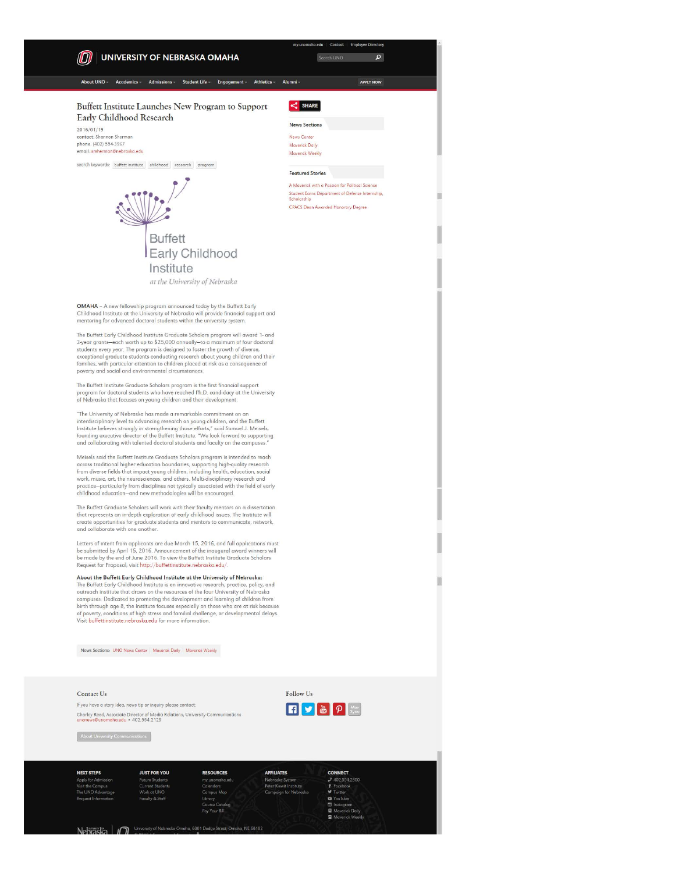

Nehraska | n university of Nebraska Omaha, 6001 Dodge Street, Omaha, NE 68182